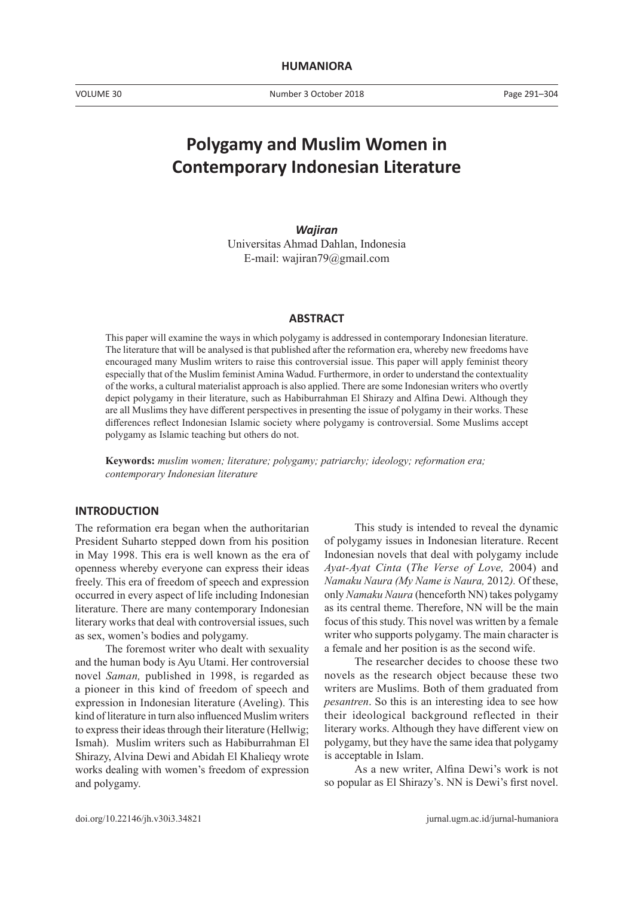# **Polygamy and Muslim Women in Contemporary Indonesian Literature**

*Wajiran* Universitas Ahmad Dahlan, Indonesia E-mail: wajiran79@gmail.com

## **ABSTRACT**

This paper will examine the ways in which polygamy is addressed in contemporary Indonesian literature. The literature that will be analysed is that published after the reformation era, whereby new freedoms have encouraged many Muslim writers to raise this controversial issue. This paper will apply feminist theory especially that of the Muslim feminist Amina Wadud. Furthermore, in order to understand the contextuality of the works, a cultural materialist approach is also applied. There are some Indonesian writers who overtly depict polygamy in their literature, such as Habiburrahman El Shirazy and Alfina Dewi. Although they are all Muslims they have different perspectives in presenting the issue of polygamy in their works. These differences reflect Indonesian Islamic society where polygamy is controversial. Some Muslims accept polygamy as Islamic teaching but others do not.

**Keywords:** *muslim women; literature; polygamy; patriarchy; ideology; reformation era; contemporary Indonesian literature*

## **INTRODUCTION**

The reformation era began when the authoritarian President Suharto stepped down from his position in May 1998. This era is well known as the era of openness whereby everyone can express their ideas freely. This era of freedom of speech and expression occurred in every aspect of life including Indonesian literature. There are many contemporary Indonesian literary works that deal with controversial issues, such as sex, women's bodies and polygamy.

The foremost writer who dealt with sexuality and the human body is Ayu Utami. Her controversial novel *Saman,* published in 1998, is regarded as a pioneer in this kind of freedom of speech and expression in Indonesian literature (Aveling). This kind of literature in turn also influenced Muslim writers to express their ideas through their literature (Hellwig; Ismah). Muslim writers such as Habiburrahman El Shirazy, Alvina Dewi and Abidah El Khalieqy wrote works dealing with women's freedom of expression and polygamy.

This study is intended to reveal the dynamic of polygamy issues in Indonesian literature. Recent Indonesian novels that deal with polygamy include *Ayat-Ayat Cinta* (*The Verse of Love,* 2004) and *Namaku Naura (My Name is Naura,* 2012*).* Of these, only *Namaku Naura* (henceforth NN) takes polygamy as its central theme. Therefore, NN will be the main focus of this study. This novel was written by a female writer who supports polygamy. The main character is a female and her position is as the second wife.

The researcher decides to choose these two novels as the research object because these two writers are Muslims. Both of them graduated from *pesantren*. So this is an interesting idea to see how their ideological background reflected in their literary works. Although they have different view on polygamy, but they have the same idea that polygamy is acceptable in Islam.

As a new writer, Alfina Dewi's work is not so popular as El Shirazy's. NN is Dewi's first novel.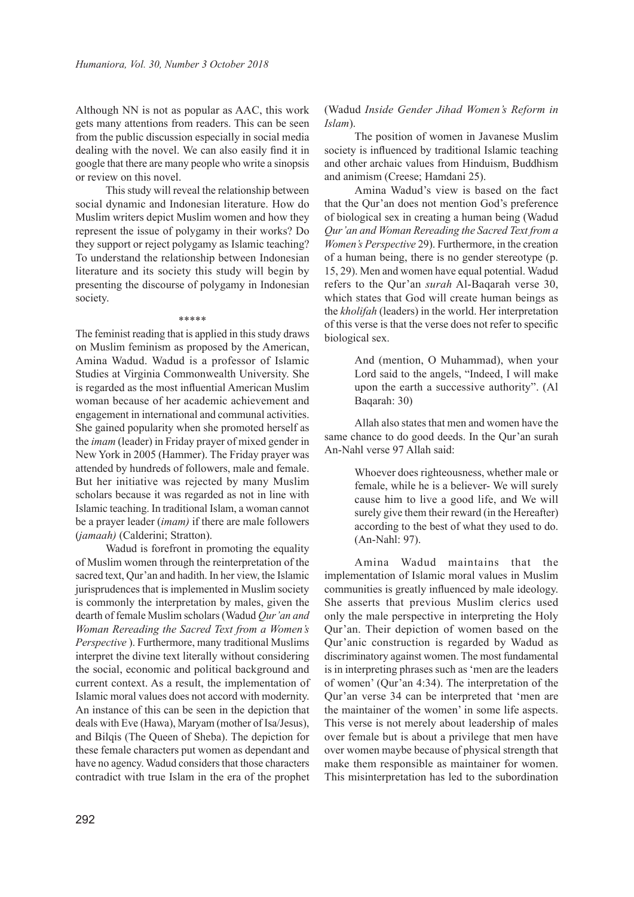Although NN is not as popular as AAC, this work gets many attentions from readers. This can be seen from the public discussion especially in social media dealing with the novel. We can also easily find it in google that there are many people who write a sinopsis or review on this novel.

This study will reveal the relationship between social dynamic and Indonesian literature. How do Muslim writers depict Muslim women and how they represent the issue of polygamy in their works? Do they support or reject polygamy as Islamic teaching? To understand the relationship between Indonesian literature and its society this study will begin by presenting the discourse of polygamy in Indonesian society.

\*\*\*\*\*

The feminist reading that is applied in this study draws on Muslim feminism as proposed by the American, Amina Wadud. Wadud is a professor of Islamic Studies at Virginia Commonwealth University. She is regarded as the most influential American Muslim woman because of her academic achievement and engagement in international and communal activities. She gained popularity when she promoted herself as the *imam* (leader) in Friday prayer of mixed gender in New York in 2005 (Hammer). The Friday prayer was attended by hundreds of followers, male and female. But her initiative was rejected by many Muslim scholars because it was regarded as not in line with Islamic teaching. In traditional Islam, a woman cannot be a prayer leader (*imam)* if there are male followers (*jamaah)* (Calderini; Stratton).

Wadud is forefront in promoting the equality of Muslim women through the reinterpretation of the sacred text, Qur'an and hadith. In her view, the Islamic jurisprudences that is implemented in Muslim society is commonly the interpretation by males, given the dearth of female Muslim scholars (Wadud *Qur'an and Woman Rereading the Sacred Text from a Women's Perspective* ). Furthermore, many traditional Muslims interpret the divine text literally without considering the social, economic and political background and current context. As a result, the implementation of Islamic moral values does not accord with modernity. An instance of this can be seen in the depiction that deals with Eve (Hawa), Maryam (mother of Isa/Jesus), and Bilqis (The Queen of Sheba). The depiction for these female characters put women as dependant and have no agency. Wadud considers that those characters contradict with true Islam in the era of the prophet

# (Wadud *Inside Gender Jihad Women's Reform in Islam*).

The position of women in Javanese Muslim society is influenced by traditional Islamic teaching and other archaic values from Hinduism, Buddhism and animism (Creese; Hamdani 25).

Amina Wadud's view is based on the fact that the Qur'an does not mention God's preference of biological sex in creating a human being (Wadud *Qur'an and Woman Rereading the Sacred Text from a Women's Perspective* 29). Furthermore, in the creation of a human being, there is no gender stereotype (p. 15, 29). Men and women have equal potential. Wadud refers to the Qur'an *surah* Al-Baqarah verse 30, which states that God will create human beings as the *kholifah* (leaders) in the world. Her interpretation of this verse is that the verse does not refer to specific biological sex.

> And (mention, O Muhammad), when your Lord said to the angels, "Indeed, I will make upon the earth a successive authority". (Al Baqarah: 30)

Allah also states that men and women have the same chance to do good deeds. In the Qur'an surah An-Nahl verse 97 Allah said:

> Whoever does righteousness, whether male or female, while he is a believer- We will surely cause him to live a good life, and We will surely give them their reward (in the Hereafter) according to the best of what they used to do. (An-Nahl: 97).

Amina Wadud maintains that the implementation of Islamic moral values in Muslim communities is greatly influenced by male ideology. She asserts that previous Muslim clerics used only the male perspective in interpreting the Holy Qur'an. Their depiction of women based on the Qur'anic construction is regarded by Wadud as discriminatory against women. The most fundamental is in interpreting phrases such as 'men are the leaders of women' (Qur'an 4:34). The interpretation of the Qur'an verse 34 can be interpreted that 'men are the maintainer of the women' in some life aspects. This verse is not merely about leadership of males over female but is about a privilege that men have over women maybe because of physical strength that make them responsible as maintainer for women. This misinterpretation has led to the subordination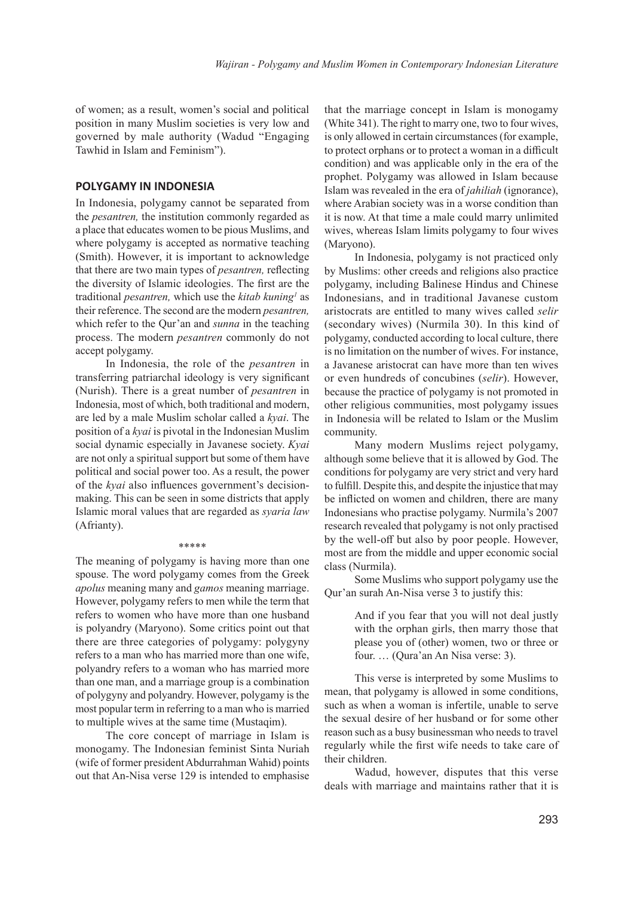of women; as a result, women's social and political position in many Muslim societies is very low and governed by male authority (Wadud "Engaging Tawhid in Islam and Feminism").

# **POLYGAMY IN INDONESIA**

In Indonesia, polygamy cannot be separated from the *pesantren,* the institution commonly regarded as a place that educates women to be pious Muslims, and where polygamy is accepted as normative teaching (Smith). However, it is important to acknowledge that there are two main types of *pesantren,* reflecting the diversity of Islamic ideologies. The first are the traditional *pesantren,* which use the *kitab kuning<sup>1</sup>* as their reference. The second are the modern *pesantren,* which refer to the Qur'an and *sunna* in the teaching process. The modern *pesantren* commonly do not accept polygamy.

In Indonesia, the role of the *pesantren* in transferring patriarchal ideology is very significant (Nurish). There is a great number of *pesantren* in Indonesia, most of which, both traditional and modern, are led by a male Muslim scholar called a *kyai*. The position of a *kyai* is pivotal in the Indonesian Muslim social dynamic especially in Javanese society. *Kyai* are not only a spiritual support but some of them have political and social power too. As a result, the power of the *kyai* also influences government's decisionmaking. This can be seen in some districts that apply Islamic moral values that are regarded as *syaria law* (Afrianty).

## \*\*\*\*\*

The meaning of polygamy is having more than one spouse. The word polygamy comes from the Greek *apolus* meaning many and *gamos* meaning marriage. However, polygamy refers to men while the term that refers to women who have more than one husband is polyandry (Maryono). Some critics point out that there are three categories of polygamy: polygyny refers to a man who has married more than one wife, polyandry refers to a woman who has married more than one man, and a marriage group is a combination of polygyny and polyandry. However, polygamy is the most popular term in referring to a man who is married to multiple wives at the same time (Mustaqim).

The core concept of marriage in Islam is monogamy. The Indonesian feminist Sinta Nuriah (wife of former president Abdurrahman Wahid) points out that An-Nisa verse 129 is intended to emphasise

that the marriage concept in Islam is monogamy (White 341). The right to marry one, two to four wives, is only allowed in certain circumstances (for example, to protect orphans or to protect a woman in a difficult condition) and was applicable only in the era of the prophet. Polygamy was allowed in Islam because Islam was revealed in the era of *jahiliah* (ignorance), where Arabian society was in a worse condition than it is now. At that time a male could marry unlimited wives, whereas Islam limits polygamy to four wives (Maryono).

In Indonesia, polygamy is not practiced only by Muslims: other creeds and religions also practice polygamy, including Balinese Hindus and Chinese Indonesians, and in traditional Javanese custom aristocrats are entitled to many wives called *selir*  (secondary wives) (Nurmila 30). In this kind of polygamy, conducted according to local culture, there is no limitation on the number of wives. For instance, a Javanese aristocrat can have more than ten wives or even hundreds of concubines (*selir*). However, because the practice of polygamy is not promoted in other religious communities, most polygamy issues in Indonesia will be related to Islam or the Muslim community.

Many modern Muslims reject polygamy, although some believe that it is allowed by God. The conditions for polygamy are very strict and very hard to fulfill. Despite this, and despite the injustice that may be inflicted on women and children, there are many Indonesians who practise polygamy. Nurmila's 2007 research revealed that polygamy is not only practised by the well-off but also by poor people. However, most are from the middle and upper economic social class (Nurmila).

Some Muslims who support polygamy use the Qur'an surah An-Nisa verse 3 to justify this:

> And if you fear that you will not deal justly with the orphan girls, then marry those that please you of (other) women, two or three or four. … (Qura'an An Nisa verse: 3).

This verse is interpreted by some Muslims to mean, that polygamy is allowed in some conditions, such as when a woman is infertile, unable to serve the sexual desire of her husband or for some other reason such as a busy businessman who needs to travel regularly while the first wife needs to take care of their children.

Wadud, however, disputes that this verse deals with marriage and maintains rather that it is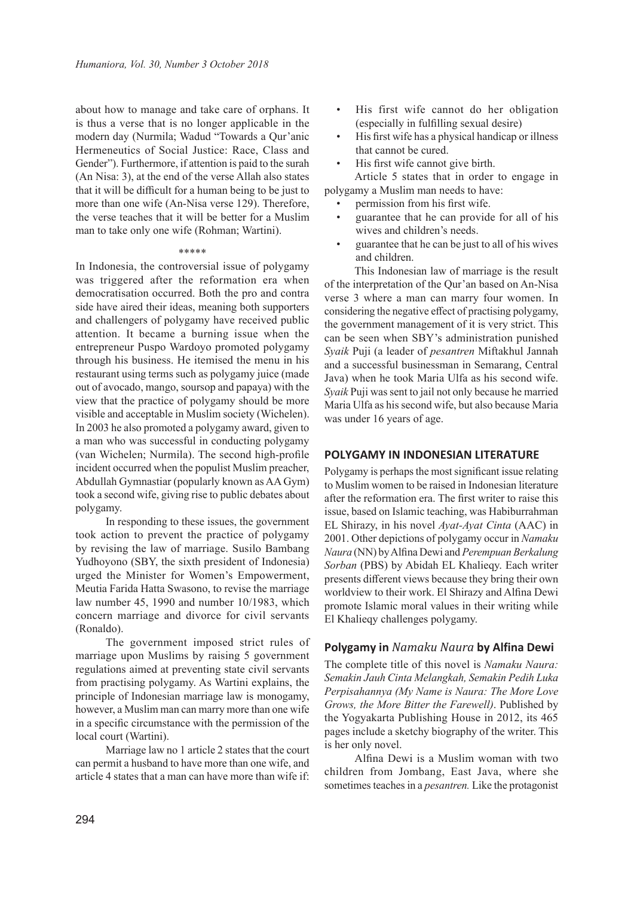about how to manage and take care of orphans. It is thus a verse that is no longer applicable in the modern day (Nurmila; Wadud "Towards a Qur'anic Hermeneutics of Social Justice: Race, Class and Gender"). Furthermore, if attention is paid to the surah (An Nisa: 3), at the end of the verse Allah also states that it will be difficult for a human being to be just to more than one wife (An-Nisa verse 129). Therefore, the verse teaches that it will be better for a Muslim man to take only one wife (Rohman; Wartini).

#### \*\*\*\*\*

In Indonesia, the controversial issue of polygamy was triggered after the reformation era when democratisation occurred. Both the pro and contra side have aired their ideas, meaning both supporters and challengers of polygamy have received public attention. It became a burning issue when the entrepreneur Puspo Wardoyo promoted polygamy through his business. He itemised the menu in his restaurant using terms such as polygamy juice (made out of avocado, mango, soursop and papaya) with the view that the practice of polygamy should be more visible and acceptable in Muslim society (Wichelen). In 2003 he also promoted a polygamy award, given to a man who was successful in conducting polygamy (van Wichelen; Nurmila). The second high-profile incident occurred when the populist Muslim preacher, Abdullah Gymnastiar (popularly known as AA Gym) took a second wife, giving rise to public debates about polygamy.

In responding to these issues, the government took action to prevent the practice of polygamy by revising the law of marriage. Susilo Bambang Yudhoyono (SBY, the sixth president of Indonesia) urged the Minister for Women's Empowerment, Meutia Farida Hatta Swasono, to revise the marriage law number 45, 1990 and number 10/1983, which concern marriage and divorce for civil servants (Ronaldo).

The government imposed strict rules of marriage upon Muslims by raising 5 government regulations aimed at preventing state civil servants from practising polygamy. As Wartini explains, the principle of Indonesian marriage law is monogamy, however, a Muslim man can marry more than one wife in a specific circumstance with the permission of the local court (Wartini).

Marriage law no 1 article 2 states that the court can permit a husband to have more than one wife, and article 4 states that a man can have more than wife if:

- His first wife cannot do her obligation (especially in fulfilling sexual desire)
- His first wife has a physical handicap or illness that cannot be cured.
- His first wife cannot give birth.

Article 5 states that in order to engage in polygamy a Muslim man needs to have:

- permission from his first wife.
- guarantee that he can provide for all of his wives and children's needs.
- guarantee that he can be just to all of his wives and children.

This Indonesian law of marriage is the result of the interpretation of the Qur'an based on An-Nisa verse 3 where a man can marry four women. In considering the negative effect of practising polygamy, the government management of it is very strict. This can be seen when SBY's administration punished *Syaik* Puji (a leader of *pesantren* Miftakhul Jannah and a successful businessman in Semarang, Central Java) when he took Maria Ulfa as his second wife. *Syaik* Puji was sent to jail not only because he married Maria Ulfa as his second wife, but also because Maria was under 16 years of age.

## **POLYGAMY IN INDONESIAN LITERATURE**

Polygamy is perhaps the most significant issue relating to Muslim women to be raised in Indonesian literature after the reformation era. The first writer to raise this issue, based on Islamic teaching, was Habiburrahman EL Shirazy, in his novel *Ayat-Ayat Cinta* (AAC) in 2001. Other depictions of polygamy occur in *Namaku Naura* (NN) by Alfina Dewi and *Perempuan Berkalung Sorban* (PBS) by Abidah EL Khalieqy. Each writer presents different views because they bring their own worldview to their work. El Shirazy and Alfina Dewi promote Islamic moral values in their writing while El Khalieqy challenges polygamy.

## **Polygamy in** *Namaku Naura* **by Alfina Dewi**

The complete title of this novel is *Namaku Naura: Semakin Jauh Cinta Melangkah, Semakin Pedih Luka Perpisahannya (My Name is Naura: The More Love Grows, the More Bitter the Farewell)*. Published by the Yogyakarta Publishing House in 2012, its 465 pages include a sketchy biography of the writer. This is her only novel.

Alfina Dewi is a Muslim woman with two children from Jombang, East Java, where she sometimes teaches in a *pesantren.* Like the protagonist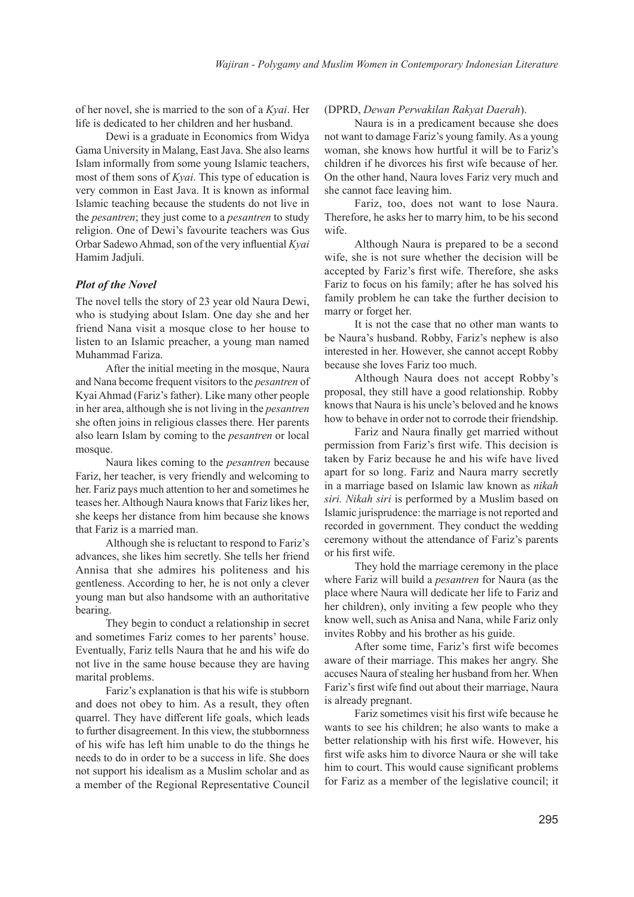of her novel, she is married to the son of a *Kyai*. Her life is dedicated to her children and her husband.

Dewi is a graduate in Economics from Widya Gama University in Malang, East Java. She also learns Islam informally from some young Islamic teachers, most of them sons of *Kyai*. This type of education is very common in East Java. It is known as informal Islamic teaching because the students do not live in the *pesantren*; they just come to a *pesantren* to study religion. One of Dewi's favourite teachers was Gus Orbar Sadewo Ahmad, son of the very influential *Kyai* Hamim Jadjuli.

# *Plot of the Novel*

The novel tells the story of 23 year old Naura Dewi, who is studying about Islam. One day she and her friend Nana visit a mosque close to her house to listen to an Islamic preacher, a young man named Muhammad Fariza.

After the initial meeting in the mosque, Naura and Nana become frequent visitors to the *pesantren* of Kyai Ahmad (Fariz's father). Like many other people in her area, although she is not living in the *pesantren* she often joins in religious classes there*.* Her parents also learn Islam by coming to the *pesantren* or local mosque.

Naura likes coming to the *pesantren* because Fariz, her teacher, is very friendly and welcoming to her. Fariz pays much attention to her and sometimes he teases her. Although Naura knows that Fariz likes her, she keeps her distance from him because she knows that Fariz is a married man.

Although she is reluctant to respond to Fariz's advances, she likes him secretly. She tells her friend Annisa that she admires his politeness and his gentleness. According to her, he is not only a clever young man but also handsome with an authoritative bearing.

They begin to conduct a relationship in secret and sometimes Fariz comes to her parents' house. Eventually, Fariz tells Naura that he and his wife do not live in the same house because they are having marital problems.

Fariz's explanation is that his wife is stubborn and does not obey to him. As a result, they often quarrel. They have different life goals, which leads to further disagreement. In this view, the stubbornness of his wife has left him unable to do the things he needs to do in order to be a success in life. She does not support his idealism as a Muslim scholar and as a member of the Regional Representative Council

# (DPRD, *Dewan Perwakilan Rakyat Daerah*).

Naura is in a predicament because she does not want to damage Fariz's young family. As a young woman, she knows how hurtful it will be to Fariz's children if he divorces his first wife because of her. On the other hand, Naura loves Fariz very much and she cannot face leaving him.

Fariz, too, does not want to lose Naura. Therefore, he asks her to marry him, to be his second wife.

Although Naura is prepared to be a second wife, she is not sure whether the decision will be accepted by Fariz's first wife. Therefore, she asks Fariz to focus on his family; after he has solved his family problem he can take the further decision to marry or forget her.

It is not the case that no other man wants to be Naura's husband. Robby, Fariz's nephew is also interested in her. However, she cannot accept Robby because she loves Fariz too much.

Although Naura does not accept Robby's proposal, they still have a good relationship. Robby knows that Naura is his uncle's beloved and he knows how to behave in order not to corrode their friendship.

Fariz and Naura finally get married without permission from Fariz's first wife. This decision is taken by Fariz because he and his wife have lived apart for so long. Fariz and Naura marry secretly in a marriage based on Islamic law known as *nikah siri. Nikah siri* is performed by a Muslim based on Islamic jurisprudence: the marriage is not reported and recorded in government. They conduct the wedding ceremony without the attendance of Fariz's parents or his first wife.

They hold the marriage ceremony in the place where Fariz will build a *pesantren* for Naura (as the place where Naura will dedicate her life to Fariz and her children), only inviting a few people who they know well, such as Anisa and Nana, while Fariz only invites Robby and his brother as his guide.

After some time, Fariz's first wife becomes aware of their marriage. This makes her angry. She accuses Naura of stealing her husband from her. When Fariz's first wife find out about their marriage, Naura is already pregnant.

Fariz sometimes visit his first wife because he wants to see his children; he also wants to make a better relationship with his first wife. However, his first wife asks him to divorce Naura or she will take him to court. This would cause significant problems for Fariz as a member of the legislative council; it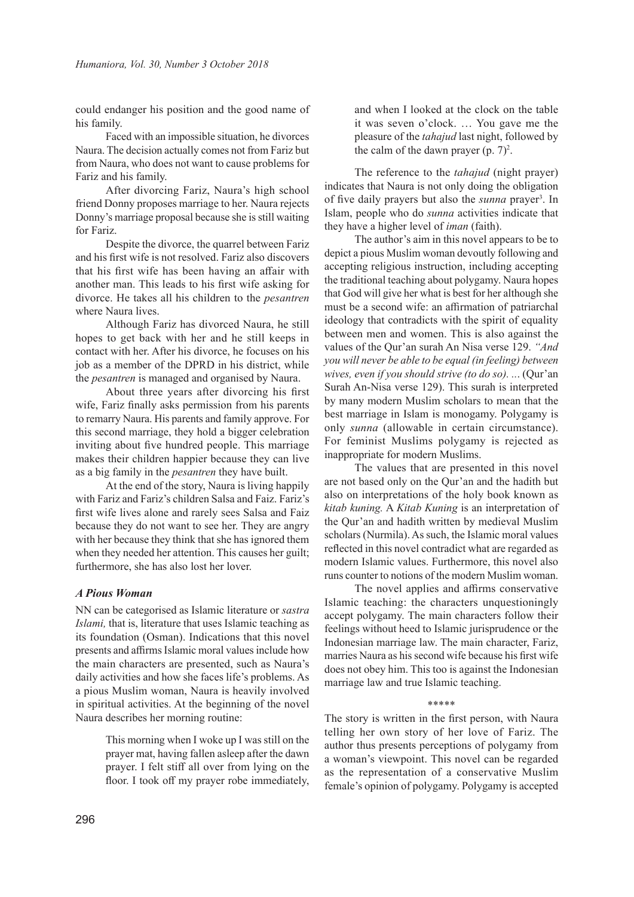could endanger his position and the good name of his family.

Faced with an impossible situation, he divorces Naura. The decision actually comes not from Fariz but from Naura, who does not want to cause problems for Fariz and his family.

After divorcing Fariz, Naura's high school friend Donny proposes marriage to her. Naura rejects Donny's marriage proposal because she is still waiting for Fariz.

Despite the divorce, the quarrel between Fariz and his first wife is not resolved. Fariz also discovers that his first wife has been having an affair with another man. This leads to his first wife asking for divorce. He takes all his children to the *pesantren* where Naura lives.

Although Fariz has divorced Naura, he still hopes to get back with her and he still keeps in contact with her. After his divorce, he focuses on his job as a member of the DPRD in his district, while the *pesantren* is managed and organised by Naura.

About three years after divorcing his first wife, Fariz finally asks permission from his parents to remarry Naura. His parents and family approve. For this second marriage, they hold a bigger celebration inviting about five hundred people. This marriage makes their children happier because they can live as a big family in the *pesantren* they have built.

At the end of the story, Naura is living happily with Fariz and Fariz's children Salsa and Faiz. Fariz's first wife lives alone and rarely sees Salsa and Faiz because they do not want to see her. They are angry with her because they think that she has ignored them when they needed her attention. This causes her guilt; furthermore, she has also lost her lover.

# *A Pious Woman*

NN can be categorised as Islamic literature or *sastra Islami,* that is, literature that uses Islamic teaching as its foundation (Osman). Indications that this novel presents and affirms Islamic moral values include how the main characters are presented, such as Naura's daily activities and how she faces life's problems. As a pious Muslim woman, Naura is heavily involved in spiritual activities. At the beginning of the novel Naura describes her morning routine:

> This morning when I woke up I was still on the prayer mat, having fallen asleep after the dawn prayer. I felt stiff all over from lying on the floor. I took off my prayer robe immediately,

and when I looked at the clock on the table it was seven o'clock. … You gave me the pleasure of the *tahajud* last night, followed by the calm of the dawn prayer  $(p. 7)^2$ .

The reference to the *tahajud* (night prayer) indicates that Naura is not only doing the obligation of five daily prayers but also the *sunna* prayer<sup>3</sup>. In Islam, people who do *sunna* activities indicate that they have a higher level of *iman* (faith).

The author's aim in this novel appears to be to depict a pious Muslim woman devoutly following and accepting religious instruction, including accepting the traditional teaching about polygamy. Naura hopes that God will give her what is best for her although she must be a second wife: an affirmation of patriarchal ideology that contradicts with the spirit of equality between men and women. This is also against the values of the Qur'an surah An Nisa verse 129. *"And you will never be able to be equal (in feeling) between wives, even if you should strive (to do so). ..*. (Qur'an Surah An-Nisa verse 129). This surah is interpreted by many modern Muslim scholars to mean that the best marriage in Islam is monogamy. Polygamy is only *sunna* (allowable in certain circumstance). For feminist Muslims polygamy is rejected as inappropriate for modern Muslims.

The values that are presented in this novel are not based only on the Qur'an and the hadith but also on interpretations of the holy book known as *kitab kuning.* A *Kitab Kuning* is an interpretation of the Qur'an and hadith written by medieval Muslim scholars (Nurmila). As such, the Islamic moral values reflected in this novel contradict what are regarded as modern Islamic values. Furthermore, this novel also runs counter to notions of the modern Muslim woman.

The novel applies and affirms conservative Islamic teaching: the characters unquestioningly accept polygamy. The main characters follow their feelings without heed to Islamic jurisprudence or the Indonesian marriage law. The main character, Fariz, marries Naura as his second wife because his first wife does not obey him. This too is against the Indonesian marriage law and true Islamic teaching.

#### \*\*\*\*\*\*

The story is written in the first person, with Naura telling her own story of her love of Fariz. The author thus presents perceptions of polygamy from a woman's viewpoint. This novel can be regarded as the representation of a conservative Muslim female's opinion of polygamy. Polygamy is accepted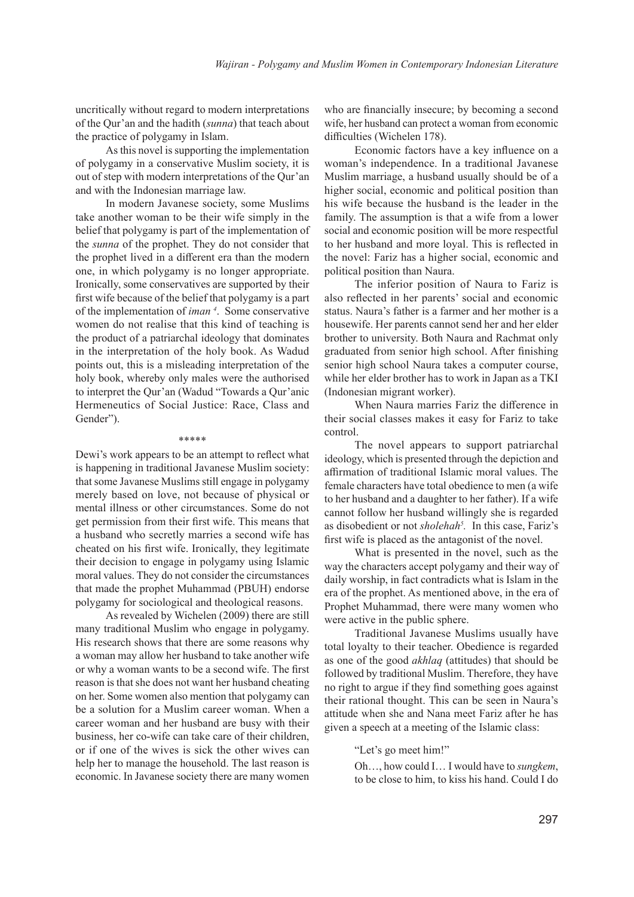uncritically without regard to modern interpretations of the Qur'an and the hadith (*sunna*) that teach about the practice of polygamy in Islam.

As this novel is supporting the implementation of polygamy in a conservative Muslim society, it is out of step with modern interpretations of the Qur'an and with the Indonesian marriage law.

In modern Javanese society, some Muslims take another woman to be their wife simply in the belief that polygamy is part of the implementation of the *sunna* of the prophet. They do not consider that the prophet lived in a different era than the modern one, in which polygamy is no longer appropriate. Ironically, some conservatives are supported by their first wife because of the belief that polygamy is a part of the implementation of *iman <sup>4</sup>* . Some conservative women do not realise that this kind of teaching is the product of a patriarchal ideology that dominates in the interpretation of the holy book. As Wadud points out, this is a misleading interpretation of the holy book, whereby only males were the authorised to interpret the Qur'an (Wadud "Towards a Qur'anic Hermeneutics of Social Justice: Race, Class and Gender").

#### \*\*\*\*\*

Dewi's work appears to be an attempt to reflect what is happening in traditional Javanese Muslim society: that some Javanese Muslims still engage in polygamy merely based on love, not because of physical or mental illness or other circumstances. Some do not get permission from their first wife. This means that a husband who secretly marries a second wife has cheated on his first wife. Ironically, they legitimate their decision to engage in polygamy using Islamic moral values. They do not consider the circumstances that made the prophet Muhammad (PBUH) endorse polygamy for sociological and theological reasons.

As revealed by Wichelen (2009) there are still many traditional Muslim who engage in polygamy. His research shows that there are some reasons why a woman may allow her husband to take another wife or why a woman wants to be a second wife. The first reason is that she does not want her husband cheating on her. Some women also mention that polygamy can be a solution for a Muslim career woman. When a career woman and her husband are busy with their business, her co-wife can take care of their children, or if one of the wives is sick the other wives can help her to manage the household. The last reason is economic. In Javanese society there are many women who are financially insecure; by becoming a second wife, her husband can protect a woman from economic difficulties (Wichelen 178).

Economic factors have a key influence on a woman's independence. In a traditional Javanese Muslim marriage, a husband usually should be of a higher social, economic and political position than his wife because the husband is the leader in the family. The assumption is that a wife from a lower social and economic position will be more respectful to her husband and more loyal. This is reflected in the novel: Fariz has a higher social, economic and political position than Naura.

The inferior position of Naura to Fariz is also reflected in her parents' social and economic status. Naura's father is a farmer and her mother is a housewife. Her parents cannot send her and her elder brother to university. Both Naura and Rachmat only graduated from senior high school. After finishing senior high school Naura takes a computer course, while her elder brother has to work in Japan as a TKI (Indonesian migrant worker).

When Naura marries Fariz the difference in their social classes makes it easy for Fariz to take control.

The novel appears to support patriarchal ideology, which is presented through the depiction and affirmation of traditional Islamic moral values. The female characters have total obedience to men (a wife to her husband and a daughter to her father). If a wife cannot follow her husband willingly she is regarded as disobedient or not *sholehah<sup>5</sup> .* In this case, Fariz's first wife is placed as the antagonist of the novel.

What is presented in the novel, such as the way the characters accept polygamy and their way of daily worship, in fact contradicts what is Islam in the era of the prophet. As mentioned above, in the era of Prophet Muhammad, there were many women who were active in the public sphere.

Traditional Javanese Muslims usually have total loyalty to their teacher. Obedience is regarded as one of the good *akhlaq* (attitudes) that should be followed by traditional Muslim. Therefore, they have no right to argue if they find something goes against their rational thought. This can be seen in Naura's attitude when she and Nana meet Fariz after he has given a speech at a meeting of the Islamic class:

### "Let's go meet him!"

Oh…, how could I… I would have to *sungkem*, to be close to him, to kiss his hand. Could I do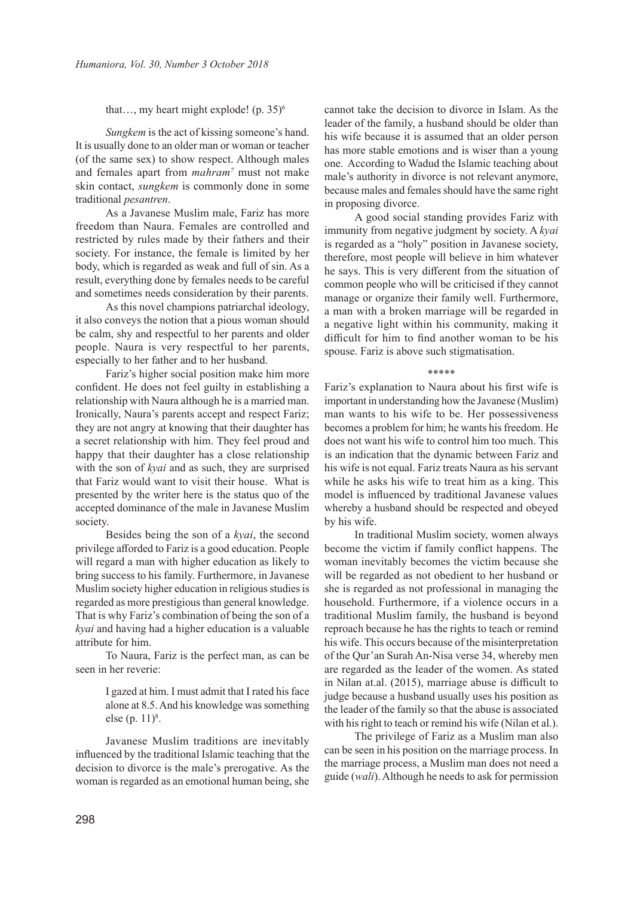that..., my heart might explode! (p. 35)<sup>6</sup>

*Sungkem* is the act of kissing someone's hand. It is usually done to an older man or woman or teacher (of the same sex) to show respect. Although males and females apart from *mahram<sup>7</sup>* must not make skin contact, *sungkem* is commonly done in some traditional *pesantren*.

As a Javanese Muslim male, Fariz has more freedom than Naura. Females are controlled and restricted by rules made by their fathers and their society. For instance, the female is limited by her body, which is regarded as weak and full of sin. As a result, everything done by females needs to be careful and sometimes needs consideration by their parents.

As this novel champions patriarchal ideology, it also conveys the notion that a pious woman should be calm, shy and respectful to her parents and older people. Naura is very respectful to her parents, especially to her father and to her husband.

Fariz's higher social position make him more confident. He does not feel guilty in establishing a relationship with Naura although he is a married man. Ironically, Naura's parents accept and respect Fariz; they are not angry at knowing that their daughter has a secret relationship with him. They feel proud and happy that their daughter has a close relationship with the son of *kyai* and as such, they are surprised that Fariz would want to visit their house. What is presented by the writer here is the status quo of the accepted dominance of the male in Javanese Muslim society.

Besides being the son of a *kyai*, the second privilege afforded to Fariz is a good education. People will regard a man with higher education as likely to bring success to his family. Furthermore, in Javanese Muslim society higher education in religious studies is regarded as more prestigious than general knowledge. That is why Fariz's combination of being the son of a *kyai* and having had a higher education is a valuable attribute for him.

To Naura, Fariz is the perfect man, as can be seen in her reverie:

> I gazed at him. I must admit that I rated his face alone at 8.5. And his knowledge was something else (p. 11)<sup>8</sup>.

Javanese Muslim traditions are inevitably influenced by the traditional Islamic teaching that the decision to divorce is the male's prerogative. As the woman is regarded as an emotional human being, she cannot take the decision to divorce in Islam. As the leader of the family, a husband should be older than his wife because it is assumed that an older person has more stable emotions and is wiser than a young one. According to Wadud the Islamic teaching about male's authority in divorce is not relevant anymore, because males and females should have the same right in proposing divorce.

A good social standing provides Fariz with immunity from negative judgment by society. A *kyai* is regarded as a "holy" position in Javanese society, therefore, most people will believe in him whatever he says. This is very different from the situation of common people who will be criticised if they cannot manage or organize their family well. Furthermore, a man with a broken marriage will be regarded in a negative light within his community, making it difficult for him to find another woman to be his spouse. Fariz is above such stigmatisation.

## \*\*\*\*\*

Fariz's explanation to Naura about his first wife is important in understanding how the Javanese (Muslim) man wants to his wife to be. Her possessiveness becomes a problem for him; he wants his freedom. He does not want his wife to control him too much. This is an indication that the dynamic between Fariz and his wife is not equal. Fariz treats Naura as his servant while he asks his wife to treat him as a king. This model is influenced by traditional Javanese values whereby a husband should be respected and obeyed by his wife.

In traditional Muslim society, women always become the victim if family conflict happens. The woman inevitably becomes the victim because she will be regarded as not obedient to her husband or she is regarded as not professional in managing the household. Furthermore, if a violence occurs in a traditional Muslim family, the husband is beyond reproach because he has the rights to teach or remind his wife. This occurs because of the misinterpretation of the Qur'an Surah An-Nisa verse 34, whereby men are regarded as the leader of the women. As stated in Nilan at.al. (2015), marriage abuse is difficult to judge because a husband usually uses his position as the leader of the family so that the abuse is associated with his right to teach or remind his wife (Nilan et al.).

The privilege of Fariz as a Muslim man also can be seen in his position on the marriage process. In the marriage process, a Muslim man does not need a guide (*wali*). Although he needs to ask for permission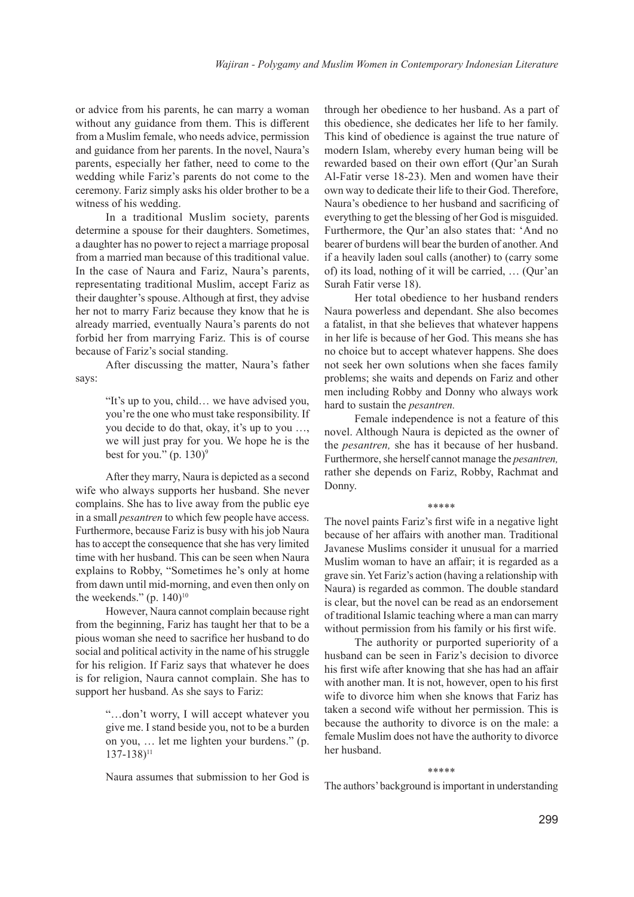or advice from his parents, he can marry a woman without any guidance from them. This is different from a Muslim female, who needs advice, permission and guidance from her parents. In the novel, Naura's parents, especially her father, need to come to the wedding while Fariz's parents do not come to the ceremony. Fariz simply asks his older brother to be a witness of his wedding.

In a traditional Muslim society, parents determine a spouse for their daughters. Sometimes, a daughter has no power to reject a marriage proposal from a married man because of this traditional value. In the case of Naura and Fariz, Naura's parents, representating traditional Muslim, accept Fariz as their daughter's spouse. Although at first, they advise her not to marry Fariz because they know that he is already married, eventually Naura's parents do not forbid her from marrying Fariz. This is of course because of Fariz's social standing.

After discussing the matter, Naura's father says:

> "It's up to you, child… we have advised you, you're the one who must take responsibility. If you decide to do that, okay, it's up to you …, we will just pray for you. We hope he is the best for you."  $(p. 130)^9$

After they marry, Naura is depicted as a second wife who always supports her husband. She never complains. She has to live away from the public eye in a small *pesantren* to which few people have access. Furthermore, because Fariz is busy with his job Naura has to accept the consequence that she has very limited time with her husband. This can be seen when Naura explains to Robby, "Sometimes he's only at home from dawn until mid-morning, and even then only on the weekends." (p.  $140$ )<sup>10</sup>

However, Naura cannot complain because right from the beginning, Fariz has taught her that to be a pious woman she need to sacrifice her husband to do social and political activity in the name of his struggle for his religion. If Fariz says that whatever he does is for religion, Naura cannot complain. She has to support her husband. As she says to Fariz:

> "…don't worry, I will accept whatever you give me. I stand beside you, not to be a burden on you, … let me lighten your burdens." (p. 137-138)<sup>11</sup>

> Naura assumes that submission to her God is

through her obedience to her husband. As a part of this obedience, she dedicates her life to her family. This kind of obedience is against the true nature of modern Islam, whereby every human being will be rewarded based on their own effort (Qur'an Surah Al-Fatir verse 18-23). Men and women have their own way to dedicate their life to their God. Therefore, Naura's obedience to her husband and sacrificing of everything to get the blessing of her God is misguided. Furthermore, the Qur'an also states that: 'And no bearer of burdens will bear the burden of another. And if a heavily laden soul calls (another) to (carry some of) its load, nothing of it will be carried, … (Qur'an Surah Fatir verse 18).

Her total obedience to her husband renders Naura powerless and dependant. She also becomes a fatalist, in that she believes that whatever happens in her life is because of her God. This means she has no choice but to accept whatever happens. She does not seek her own solutions when she faces family problems; she waits and depends on Fariz and other men including Robby and Donny who always work hard to sustain the *pesantren.*

Female independence is not a feature of this novel. Although Naura is depicted as the owner of the *pesantren,* she has it because of her husband. Furthermore, she herself cannot manage the *pesantren,*  rather she depends on Fariz, Robby, Rachmat and Donny.

## \*\*\*\*\*

The novel paints Fariz's first wife in a negative light because of her affairs with another man. Traditional Javanese Muslims consider it unusual for a married Muslim woman to have an affair; it is regarded as a grave sin. Yet Fariz's action (having a relationship with Naura) is regarded as common. The double standard is clear, but the novel can be read as an endorsement of traditional Islamic teaching where a man can marry without permission from his family or his first wife.

The authority or purported superiority of a husband can be seen in Fariz's decision to divorce his first wife after knowing that she has had an affair with another man. It is not, however, open to his first wife to divorce him when she knows that Fariz has taken a second wife without her permission. This is because the authority to divorce is on the male: a female Muslim does not have the authority to divorce her husband.

#### \*\*\*\*\*\*

The authors' background is important in understanding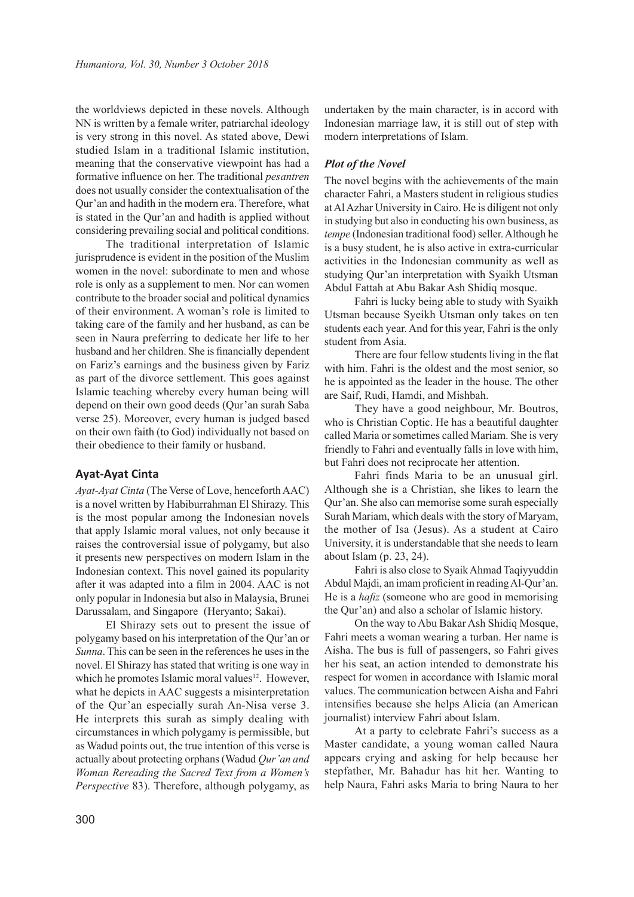the worldviews depicted in these novels. Although NN is written by a female writer, patriarchal ideology is very strong in this novel. As stated above, Dewi studied Islam in a traditional Islamic institution, meaning that the conservative viewpoint has had a formative influence on her. The traditional *pesantren*  does not usually consider the contextualisation of the Qur'an and hadith in the modern era. Therefore, what is stated in the Qur'an and hadith is applied without considering prevailing social and political conditions.

The traditional interpretation of Islamic jurisprudence is evident in the position of the Muslim women in the novel: subordinate to men and whose role is only as a supplement to men. Nor can women contribute to the broader social and political dynamics of their environment. A woman's role is limited to taking care of the family and her husband, as can be seen in Naura preferring to dedicate her life to her husband and her children. She is financially dependent on Fariz's earnings and the business given by Fariz as part of the divorce settlement. This goes against Islamic teaching whereby every human being will depend on their own good deeds (Qur'an surah Saba verse 25). Moreover, every human is judged based on their own faith (to God) individually not based on their obedience to their family or husband.

# **Ayat-Ayat Cinta**

*Ayat-Ayat Cinta* (The Verse of Love, henceforth AAC) is a novel written by Habiburrahman El Shirazy. This is the most popular among the Indonesian novels that apply Islamic moral values, not only because it raises the controversial issue of polygamy, but also it presents new perspectives on modern Islam in the Indonesian context. This novel gained its popularity after it was adapted into a film in 2004. AAC is not only popular in Indonesia but also in Malaysia, Brunei Darussalam, and Singapore (Heryanto; Sakai).

El Shirazy sets out to present the issue of polygamy based on his interpretation of the Qur'an or *Sunna*. This can be seen in the references he uses in the novel. El Shirazy has stated that writing is one way in which he promotes Islamic moral values<sup>12</sup>. However, what he depicts in AAC suggests a misinterpretation of the Qur'an especially surah An-Nisa verse 3. He interprets this surah as simply dealing with circumstances in which polygamy is permissible, but as Wadud points out, the true intention of this verse is actually about protecting orphans (Wadud *Qur'an and Woman Rereading the Sacred Text from a Women's Perspective* 83). Therefore, although polygamy, as

undertaken by the main character, is in accord with Indonesian marriage law, it is still out of step with modern interpretations of Islam.

## *Plot of the Novel*

The novel begins with the achievements of the main character Fahri, a Masters student in religious studies at Al Azhar University in Cairo. He is diligent not only in studying but also in conducting his own business, as *tempe* (Indonesian traditional food) seller. Although he is a busy student, he is also active in extra-curricular activities in the Indonesian community as well as studying Qur'an interpretation with Syaikh Utsman Abdul Fattah at Abu Bakar Ash Shidiq mosque.

Fahri is lucky being able to study with Syaikh Utsman because Syeikh Utsman only takes on ten students each year. And for this year, Fahri is the only student from Asia.

There are four fellow students living in the flat with him. Fahri is the oldest and the most senior, so he is appointed as the leader in the house. The other are Saif, Rudi, Hamdi, and Mishbah.

They have a good neighbour, Mr. Boutros, who is Christian Coptic. He has a beautiful daughter called Maria or sometimes called Mariam. She is very friendly to Fahri and eventually falls in love with him, but Fahri does not reciprocate her attention.

Fahri finds Maria to be an unusual girl. Although she is a Christian, she likes to learn the Qur'an. She also can memorise some surah especially Surah Mariam, which deals with the story of Maryam, the mother of Isa (Jesus). As a student at Cairo University, it is understandable that she needs to learn about Islam (p. 23, 24).

Fahri is also close to Syaik Ahmad Taqiyyuddin Abdul Majdi, an imam proficient in reading Al-Qur'an. He is a *hafiz* (someone who are good in memorising the Qur'an) and also a scholar of Islamic history.

On the way to Abu Bakar Ash Shidiq Mosque, Fahri meets a woman wearing a turban. Her name is Aisha. The bus is full of passengers, so Fahri gives her his seat, an action intended to demonstrate his respect for women in accordance with Islamic moral values. The communication between Aisha and Fahri intensifies because she helps Alicia (an American journalist) interview Fahri about Islam.

At a party to celebrate Fahri's success as a Master candidate, a young woman called Naura appears crying and asking for help because her stepfather, Mr. Bahadur has hit her. Wanting to help Naura, Fahri asks Maria to bring Naura to her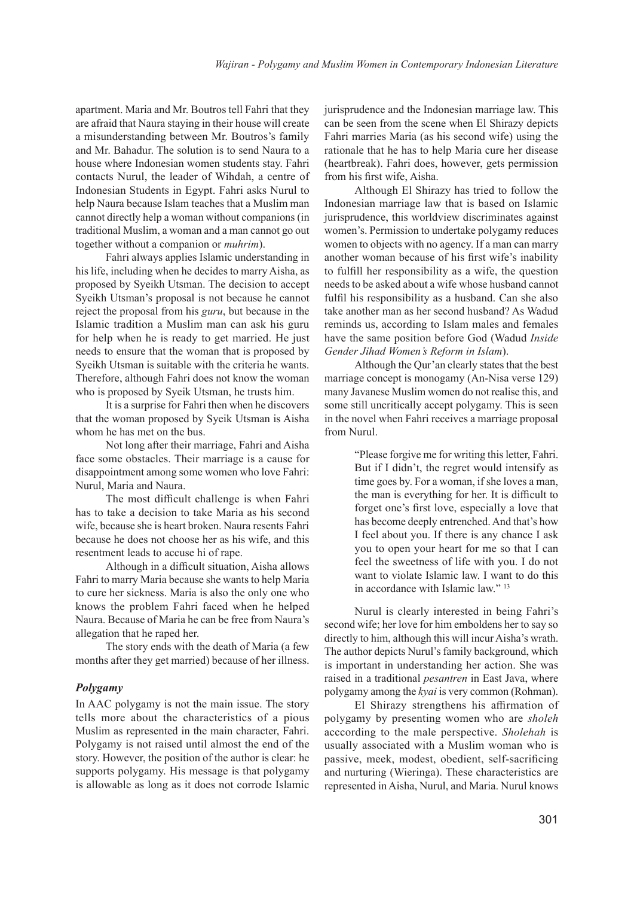apartment. Maria and Mr. Boutros tell Fahri that they are afraid that Naura staying in their house will create a misunderstanding between Mr. Boutros's family and Mr. Bahadur. The solution is to send Naura to a house where Indonesian women students stay. Fahri contacts Nurul, the leader of Wihdah, a centre of Indonesian Students in Egypt. Fahri asks Nurul to help Naura because Islam teaches that a Muslim man cannot directly help a woman without companions (in traditional Muslim, a woman and a man cannot go out together without a companion or *muhrim*).

Fahri always applies Islamic understanding in his life, including when he decides to marry Aisha, as proposed by Syeikh Utsman. The decision to accept Syeikh Utsman's proposal is not because he cannot reject the proposal from his *guru*, but because in the Islamic tradition a Muslim man can ask his guru for help when he is ready to get married. He just needs to ensure that the woman that is proposed by Syeikh Utsman is suitable with the criteria he wants. Therefore, although Fahri does not know the woman who is proposed by Syeik Utsman, he trusts him.

It is a surprise for Fahri then when he discovers that the woman proposed by Syeik Utsman is Aisha whom he has met on the bus.

Not long after their marriage, Fahri and Aisha face some obstacles. Their marriage is a cause for disappointment among some women who love Fahri: Nurul, Maria and Naura.

The most difficult challenge is when Fahri has to take a decision to take Maria as his second wife, because she is heart broken. Naura resents Fahri because he does not choose her as his wife, and this resentment leads to accuse hi of rape.

Although in a difficult situation, Aisha allows Fahri to marry Maria because she wants to help Maria to cure her sickness. Maria is also the only one who knows the problem Fahri faced when he helped Naura. Because of Maria he can be free from Naura's allegation that he raped her.

The story ends with the death of Maria (a few months after they get married) because of her illness.

# *Polygamy*

In AAC polygamy is not the main issue. The story tells more about the characteristics of a pious Muslim as represented in the main character, Fahri. Polygamy is not raised until almost the end of the story. However, the position of the author is clear: he supports polygamy. His message is that polygamy is allowable as long as it does not corrode Islamic jurisprudence and the Indonesian marriage law. This can be seen from the scene when El Shirazy depicts Fahri marries Maria (as his second wife) using the rationale that he has to help Maria cure her disease (heartbreak). Fahri does, however, gets permission from his first wife, Aisha.

Although El Shirazy has tried to follow the Indonesian marriage law that is based on Islamic jurisprudence, this worldview discriminates against women's. Permission to undertake polygamy reduces women to objects with no agency. If a man can marry another woman because of his first wife's inability to fulfill her responsibility as a wife, the question needs to be asked about a wife whose husband cannot fulfil his responsibility as a husband. Can she also take another man as her second husband? As Wadud reminds us, according to Islam males and females have the same position before God (Wadud *Inside Gender Jihad Women's Reform in Islam*).

Although the Qur'an clearly states that the best marriage concept is monogamy (An-Nisa verse 129) many Javanese Muslim women do not realise this, and some still uncritically accept polygamy. This is seen in the novel when Fahri receives a marriage proposal from Nurul.

> "Please forgive me for writing this letter, Fahri. But if I didn't, the regret would intensify as time goes by. For a woman, if she loves a man, the man is everything for her. It is difficult to forget one's first love, especially a love that has become deeply entrenched. And that's how I feel about you. If there is any chance I ask you to open your heart for me so that I can feel the sweetness of life with you. I do not want to violate Islamic law. I want to do this in accordance with Islamic law."<sup>13</sup>

Nurul is clearly interested in being Fahri's second wife; her love for him emboldens her to say so directly to him, although this will incur Aisha's wrath. The author depicts Nurul's family background, which is important in understanding her action. She was raised in a traditional *pesantren* in East Java, where polygamy among the *kyai* is very common (Rohman).

El Shirazy strengthens his affirmation of polygamy by presenting women who are *sholeh*  acccording to the male perspective. *Sholehah* is usually associated with a Muslim woman who is passive, meek, modest, obedient, self-sacrificing and nurturing (Wieringa). These characteristics are represented in Aisha, Nurul, and Maria. Nurul knows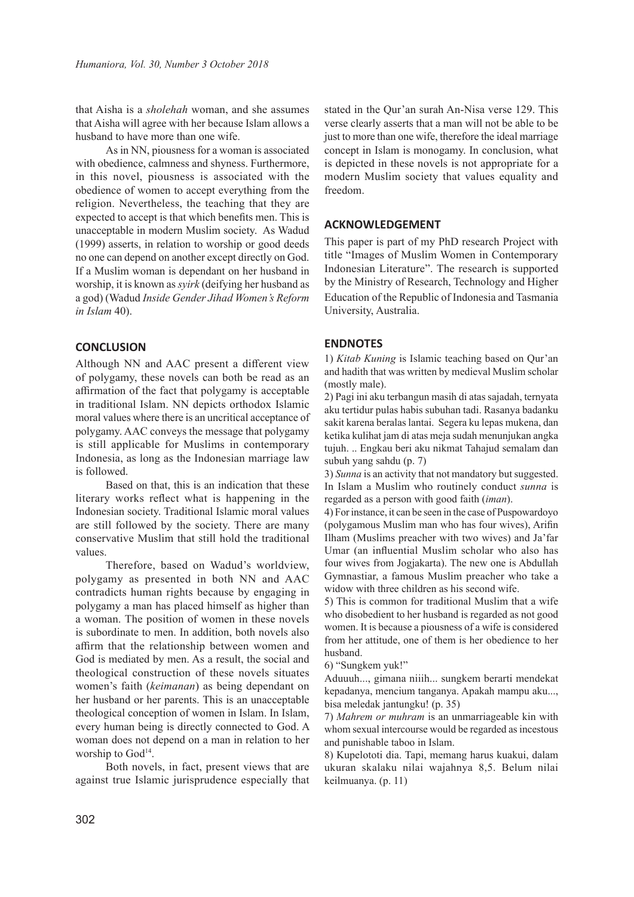that Aisha is a *sholehah* woman, and she assumes that Aisha will agree with her because Islam allows a husband to have more than one wife.

As in NN, piousness for a woman is associated with obedience, calmness and shyness. Furthermore, in this novel, piousness is associated with the obedience of women to accept everything from the religion. Nevertheless, the teaching that they are expected to accept is that which benefits men. This is unacceptable in modern Muslim society. As Wadud (1999) asserts, in relation to worship or good deeds no one can depend on another except directly on God. If a Muslim woman is dependant on her husband in worship, it is known as *syirk* (deifying her husband as a god) (Wadud *Inside Gender Jihad Women's Reform in Islam* 40).

# **CONCLUSION**

Although NN and AAC present a different view of polygamy, these novels can both be read as an affirmation of the fact that polygamy is acceptable in traditional Islam. NN depicts orthodox Islamic moral values where there is an uncritical acceptance of polygamy. AAC conveys the message that polygamy is still applicable for Muslims in contemporary Indonesia, as long as the Indonesian marriage law is followed.

Based on that, this is an indication that these literary works reflect what is happening in the Indonesian society. Traditional Islamic moral values are still followed by the society. There are many conservative Muslim that still hold the traditional values.

Therefore, based on Wadud's worldview, polygamy as presented in both NN and AAC contradicts human rights because by engaging in polygamy a man has placed himself as higher than a woman. The position of women in these novels is subordinate to men. In addition, both novels also affirm that the relationship between women and God is mediated by men. As a result, the social and theological construction of these novels situates women's faith (*keimanan*) as being dependant on her husband or her parents. This is an unacceptable theological conception of women in Islam. In Islam, every human being is directly connected to God. A woman does not depend on a man in relation to her worship to God<sup>14</sup>.

Both novels, in fact, present views that are against true Islamic jurisprudence especially that

stated in the Qur'an surah An-Nisa verse 129. This verse clearly asserts that a man will not be able to be just to more than one wife, therefore the ideal marriage concept in Islam is monogamy. In conclusion, what is depicted in these novels is not appropriate for a modern Muslim society that values equality and freedom.

# **ACKNOWLEDGEMENT**

This paper is part of my PhD research Project with title "Images of Muslim Women in Contemporary Indonesian Literature". The research is supported by the Ministry of Research, Technology and Higher Education of the Republic of Indonesia and Tasmania University, Australia.

## **ENDNOTES**

1) *Kitab Kuning* is Islamic teaching based on Qur'an and hadith that was written by medieval Muslim scholar (mostly male).

2) Pagi ini aku terbangun masih di atas sajadah, ternyata aku tertidur pulas habis subuhan tadi. Rasanya badanku sakit karena beralas lantai. Segera ku lepas mukena, dan ketika kulihat jam di atas meja sudah menunjukan angka tujuh. .. Engkau beri aku nikmat Tahajud semalam dan subuh yang sahdu (p. 7)

3) *Sunna* is an activity that not mandatory but suggested. In Islam a Muslim who routinely conduct *sunna* is regarded as a person with good faith (*iman*).

4) For instance, it can be seen in the case of Puspowardoyo (polygamous Muslim man who has four wives), Arifin Ilham (Muslims preacher with two wives) and Ja'far Umar (an influential Muslim scholar who also has four wives from Jogjakarta). The new one is Abdullah Gymnastiar, a famous Muslim preacher who take a widow with three children as his second wife.

5) This is common for traditional Muslim that a wife who disobedient to her husband is regarded as not good women. It is because a piousness of a wife is considered from her attitude, one of them is her obedience to her husband.

6) "Sungkem yuk!"

Aduuuh..., gimana niiih... sungkem berarti mendekat kepadanya, mencium tanganya. Apakah mampu aku..., bisa meledak jantungku! (p. 35)

7) *Mahrem or muhram* is an unmarriageable kin with whom sexual intercourse would be regarded as incestous and punishable taboo in Islam.

8) Kupelototi dia. Tapi, memang harus kuakui, dalam ukuran skalaku nilai wajahnya 8,5. Belum nilai keilmuanya. (p. 11)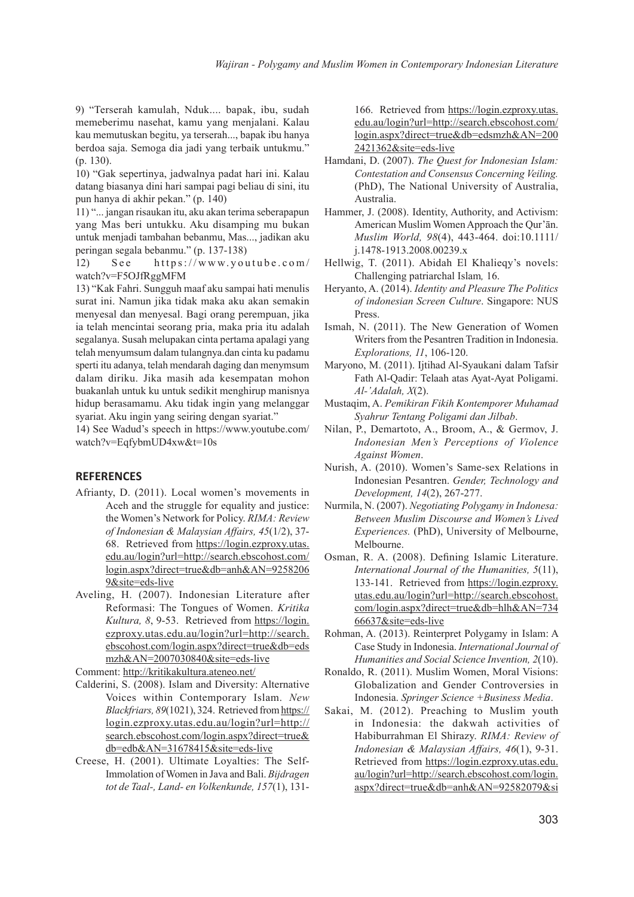9) "Terserah kamulah, Nduk.... bapak, ibu, sudah memeberimu nasehat, kamu yang menjalani. Kalau kau memutuskan begitu, ya terserah..., bapak ibu hanya berdoa saja. Semoga dia jadi yang terbaik untukmu." (p. 130).

10) "Gak sepertinya, jadwalnya padat hari ini. Kalau datang biasanya dini hari sampai pagi beliau di sini, itu pun hanya di akhir pekan." (p. 140)

11) "... jangan risaukan itu, aku akan terima seberapapun yang Mas beri untukku. Aku disamping mu bukan untuk menjadi tambahan bebanmu, Mas..., jadikan aku peringan segala bebanmu." (p. 137-138)

12) See https://www.youtube.com/ watch?v=F5OJfRggMFM

13) "Kak Fahri. Sungguh maaf aku sampai hati menulis surat ini. Namun jika tidak maka aku akan semakin menyesal dan menyesal. Bagi orang perempuan, jika ia telah mencintai seorang pria, maka pria itu adalah segalanya. Susah melupakan cinta pertama apalagi yang telah menyumsum dalam tulangnya.dan cinta ku padamu sperti itu adanya, telah mendarah daging dan menymsum dalam diriku. Jika masih ada kesempatan mohon buakanlah untuk ku untuk sedikit menghirup manisnya hidup berasamamu. Aku tidak ingin yang melanggar syariat. Aku ingin yang seiring dengan syariat."

14) See Wadud's speech in https://www.youtube.com/ watch?v=EqfybmUD4xw&t=10s

# **REFERENCES**

- Afrianty, D. (2011). Local women's movements in Aceh and the struggle for equality and justice: the Women's Network for Policy. *RIMA: Review of Indonesian & Malaysian Affairs, 45*(1/2), 37- 68. Retrieved from https://login.ezproxy.utas. edu.au/login?url=http://search.ebscohost.com/ login.aspx?direct=true&db=anh&AN=9258206 9&site=eds-live
- Aveling, H. (2007). Indonesian Literature after Reformasi: The Tongues of Women. *Kritika Kultura, 8*, 9-53. Retrieved from https://login. ezproxy.utas.edu.au/login?url=http://search. ebscohost.com/login.aspx?direct=true&db=eds mzh&AN=2007030840&site=eds-live

Comment: http://kritikakultura.ateneo.net/

- Calderini, S. (2008). Islam and Diversity: Alternative Voices within Contemporary Islam. *New Blackfriars, 89*(1021), 324. Retrieved from https:// login.ezproxy.utas.edu.au/login?url=http:// search.ebscohost.com/login.aspx?direct=true& db=edb&AN=31678415&site=eds-live
- Creese, H. (2001). Ultimate Loyalties: The Self-Immolation of Women in Java and Bali. *Bijdragen tot de Taal-, Land- en Volkenkunde, 157*(1), 131-

166. Retrieved from https://login.ezproxy.utas. edu.au/login?url=http://search.ebscohost.com/ login.aspx?direct=true&db=edsmzh&AN=200 2421362&site=eds-live

- Hamdani, D. (2007). *The Quest for Indonesian Islam: Contestation and Consensus Concerning Veiling.* (PhD), The National University of Australia, Australia.
- Hammer, J. (2008). Identity, Authority, and Activism: American Muslim Women Approach the Qur'ān. *Muslim World, 98*(4), 443-464. doi:10.1111/ j.1478-1913.2008.00239.x
- Hellwig, T. (2011). Abidah El Khalieqy's novels: Challenging patriarchal Islam*,* 16.
- Heryanto, A. (2014). *Identity and Pleasure The Politics of indonesian Screen Culture*. Singapore: NUS Press.
- Ismah, N. (2011). The New Generation of Women Writers from the Pesantren Tradition in Indonesia. *Explorations, 11*, 106-120.
- Maryono, M. (2011). Ijtihad Al-Syaukani dalam Tafsir Fath Al-Qadir: Telaah atas Ayat-Ayat Poligami. *Al-'Adalah, X*(2).
- Mustaqim, A. *Pemikiran Fikih Kontemporer Muhamad Syahrur Tentang Poligami dan Jilbab*.
- Nilan, P., Demartoto, A., Broom, A., & Germov, J. *Indonesian Men's Perceptions of Violence Against Women*.
- Nurish, A. (2010). Women's Same-sex Relations in Indonesian Pesantren. *Gender, Technology and Development, 14*(2), 267-277.
- Nurmila, N. (2007). *Negotiating Polygamy in Indonesa: Between Muslim Discourse and Women's Lived Experiences.* (PhD), University of Melbourne, Melbourne.
- Osman, R. A. (2008). Defining Islamic Literature. *International Journal of the Humanities, 5*(11), 133-141. Retrieved from https://login.ezproxy. utas.edu.au/login?url=http://search.ebscohost. com/login.aspx?direct=true&db=hlh&AN=734 66637&site=eds-live
- Rohman, A. (2013). Reinterpret Polygamy in Islam: A Case Study in Indonesia. *International Journal of Humanities and Social Science Invention, 2*(10).
- Ronaldo, R. (2011). Muslim Women, Moral Visions: Globalization and Gender Controversies in Indonesia. *Springer Science +Business Media*.
- Sakai, M. (2012). Preaching to Muslim youth in Indonesia: the dakwah activities of Habiburrahman El Shirazy. *RIMA: Review of Indonesian & Malaysian Affairs, 46*(1), 9-31. Retrieved from https://login.ezproxy.utas.edu. au/login?url=http://search.ebscohost.com/login. aspx?direct=true&db=anh&AN=92582079&si